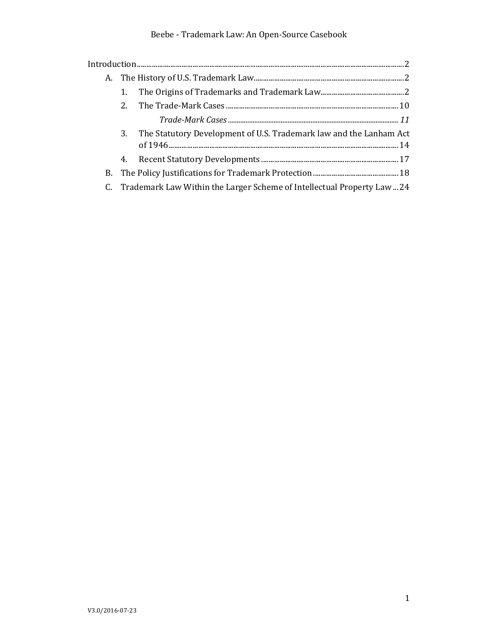# Beebe - Trademark Law: An Open-Source Casebook

| 1.                                                                         |                                                                    |  |  |
|----------------------------------------------------------------------------|--------------------------------------------------------------------|--|--|
|                                                                            |                                                                    |  |  |
|                                                                            |                                                                    |  |  |
| 3.                                                                         | The Statutory Development of U.S. Trademark law and the Lanham Act |  |  |
| 4.                                                                         |                                                                    |  |  |
|                                                                            |                                                                    |  |  |
| C. Trademark Law Within the Larger Scheme of Intellectual Property Law  24 |                                                                    |  |  |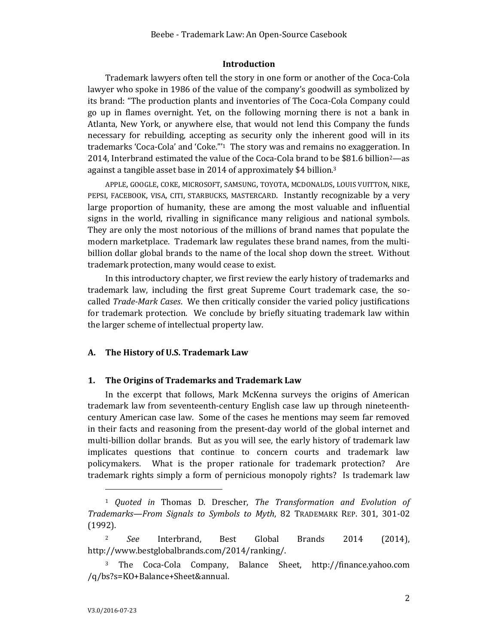### **Introduction**

<span id="page-1-0"></span>Trademark lawyers often tell the story in one form or another of the Coca-Cola lawyer who spoke in 1986 of the value of the company's goodwill as symbolized by its brand: "The production plants and inventories of The Coca-Cola Company could go up in flames overnight. Yet, on the following morning there is not a bank in Atlanta, New York, or anywhere else, that would not lend this Company the funds necessary for rebuilding, accepting as security only the inherent good will in its trademarks 'Coca-Cola' and 'Coke."'1 The story was and remains no exaggeration. In 2014, Interbrand estimated the value of the Coca-Cola brand to be \$81.6 billion2—as against a tangible asset base in 2014 of approximately \$4 billion.<sup>3</sup>

APPLE, GOOGLE, COKE, MICROSOFT, SAMSUNG, TOYOTA, MCDONALDS, LOUIS VUITTON, NIKE, PEPSI, FACEBOOK, VISA, CITI, STARBUCKS, MASTERCARD. Instantly recognizable by a very large proportion of humanity, these are among the most valuable and influential signs in the world, rivalling in significance many religious and national symbols. They are only the most notorious of the millions of brand names that populate the modern marketplace. Trademark law regulates these brand names, from the multibillion dollar global brands to the name of the local shop down the street. Without trademark protection, many would cease to exist.

In this introductory chapter, we first review the early history of trademarks and trademark law, including the first great Supreme Court trademark case, the socalled *Trade-Mark Cases*. We then critically consider the varied policy justifications for trademark protection. We conclude by briefly situating trademark law within the larger scheme of intellectual property law.

# <span id="page-1-1"></span>**A. The History of U.S. Trademark Law**

## <span id="page-1-2"></span>**1. The Origins of Trademarks and Trademark Law**

In the excerpt that follows, Mark McKenna surveys the origins of American trademark law from seventeenth-century English case law up through nineteenthcentury American case law. Some of the cases he mentions may seem far removed in their facts and reasoning from the present-day world of the global internet and multi-billion dollar brands. But as you will see, the early history of trademark law implicates questions that continue to concern courts and trademark law policymakers. What is the proper rationale for trademark protection? Are trademark rights simply a form of pernicious monopoly rights? Is trademark law

<sup>1</sup> *Quoted in* Thomas D. Drescher, *The Transformation and Evolution of Trademarks—From Signals to Symbols to Myth*, 82 TRADEMARK REP. 301, 301-02 (1992).

<sup>2</sup> *See* Interbrand, Best Global Brands 2014 (2014), http://www.bestglobalbrands.com/2014/ranking/.

<sup>3</sup> The Coca-Cola Company, Balance Sheet, http://finance.yahoo.com /q/bs?s=KO+Balance+Sheet&annual.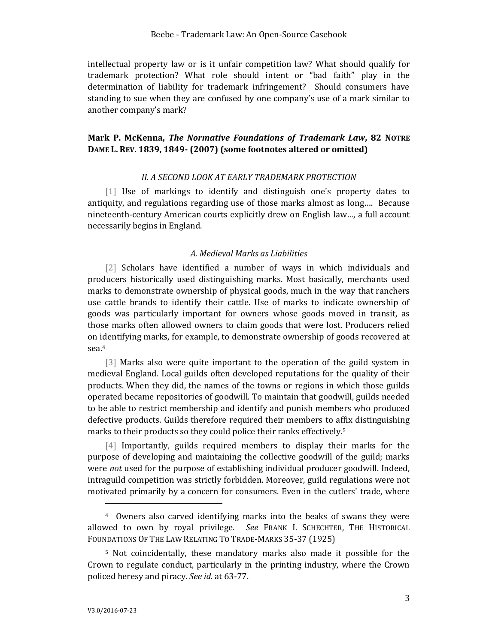intellectual property law or is it unfair competition law? What should qualify for trademark protection? What role should intent or "bad faith" play in the determination of liability for trademark infringement? Should consumers have standing to sue when they are confused by one company's use of a mark similar to another company's mark?

# **Mark P. McKenna,** *The Normative Foundations of Trademark Law***, 82 NOTRE DAME L. REV. 1839, 1849- (2007) (some footnotes altered or omitted)**

### *II. A SECOND LOOK AT EARLY TRADEMARK PROTECTION*

[1] Use of markings to identify and distinguish one's property dates to antiquity, and regulations regarding use of those marks almost as long…. Because nineteenth-century American courts explicitly drew on English law…, a full account necessarily begins in England.

## *A. Medieval Marks as Liabilities*

[2] Scholars have identified a number of ways in which individuals and producers historically used distinguishing marks. Most basically, merchants used marks to demonstrate ownership of physical goods, much in the way that ranchers use cattle brands to identify their cattle. Use of marks to indicate ownership of goods was particularly important for owners whose goods moved in transit, as those marks often allowed owners to claim goods that were lost. Producers relied on identifying marks, for example, to demonstrate ownership of goods recovered at sea.<sup>4</sup>

[3] Marks also were quite important to the operation of the guild system in medieval England. Local guilds often developed reputations for the quality of their products. When they did, the names of the towns or regions in which those guilds operated became repositories of goodwill. To maintain that goodwill, guilds needed to be able to restrict membership and identify and punish members who produced defective products. Guilds therefore required their members to affix distinguishing marks to their products so they could police their ranks effectively.<sup>5</sup>

[4] Importantly, guilds required members to display their marks for the purpose of developing and maintaining the collective goodwill of the guild; marks were *not* used for the purpose of establishing individual producer goodwill. Indeed, intraguild competition was strictly forbidden. Moreover, guild regulations were not motivated primarily by a concern for consumers. Even in the cutlers' trade, where

<sup>4</sup> Owners also carved identifying marks into the beaks of swans they were allowed to own by royal privilege. *See* FRANK I. SCHECHTER, THE HISTORICAL FOUNDATIONS OF THE LAW RELATING TO TRADE-MARKS 35-37 (1925)

<sup>5</sup> Not coincidentally, these mandatory marks also made it possible for the Crown to regulate conduct, particularly in the printing industry, where the Crown policed heresy and piracy. *See id*. at 63-77.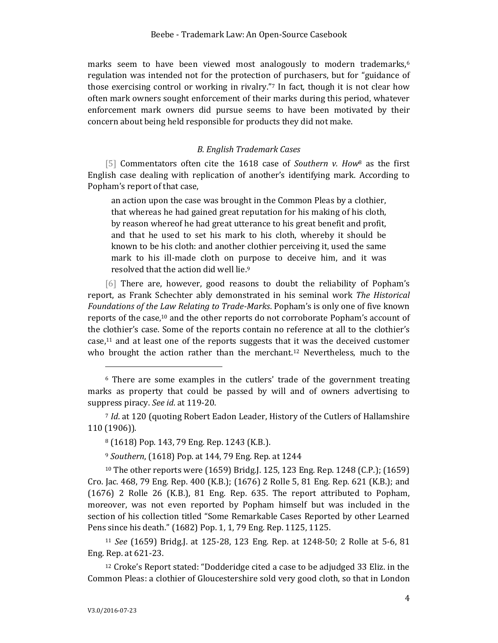marks seem to have been viewed most analogously to modern trademarks,<sup>6</sup> regulation was intended not for the protection of purchasers, but for "guidance of those exercising control or working in rivalry."<sup>7</sup> In fact, though it is not clear how often mark owners sought enforcement of their marks during this period, whatever enforcement mark owners did pursue seems to have been motivated by their concern about being held responsible for products they did not make.

# *B. English Trademark Cases*

[5] Commentators often cite the 1618 case of *Southern v. How*<sup>8</sup> as the first English case dealing with replication of another's identifying mark. According to Popham's report of that case,

an action upon the case was brought in the Common Pleas by a clothier, that whereas he had gained great reputation for his making of his cloth, by reason whereof he had great utterance to his great benefit and profit, and that he used to set his mark to his cloth, whereby it should be known to be his cloth: and another clothier perceiving it, used the same mark to his ill-made cloth on purpose to deceive him, and it was resolved that the action did well lie.<sup>9</sup>

[6] There are, however, good reasons to doubt the reliability of Popham's report, as Frank Schechter ably demonstrated in his seminal work *The Historical Foundations of the Law Relating to Trade-Marks*. Popham's is only one of five known reports of the case,<sup>10</sup> and the other reports do not corroborate Popham's account of the clothier's case. Some of the reports contain no reference at all to the clothier's case,<sup>11</sup> and at least one of the reports suggests that it was the deceived customer who brought the action rather than the merchant.<sup>12</sup> Nevertheless, much to the

<sup>6</sup> There are some examples in the cutlers' trade of the government treating marks as property that could be passed by will and of owners advertising to suppress piracy. *See id*. at 119-20.

<sup>7</sup> *Id*. at 120 (quoting Robert Eadon Leader, History of the Cutlers of Hallamshire 110 (1906)).

<sup>8</sup> (1618) Pop. 143, 79 Eng. Rep. 1243 (K.B.).

<sup>9</sup> *Southern*, (1618) Pop. at 144, 79 Eng. Rep. at 1244

<sup>10</sup> The other reports were (1659) Bridg.J. 125, 123 Eng. Rep. 1248 (C.P.); (1659) Cro. Jac. 468, 79 Eng. Rep. 400 (K.B.); (1676) 2 Rolle 5, 81 Eng. Rep. 621 (K.B.); and (1676) 2 Rolle 26 (K.B.), 81 Eng. Rep. 635. The report attributed to Popham, moreover, was not even reported by Popham himself but was included in the section of his collection titled "Some Remarkable Cases Reported by other Learned Pens since his death." (1682) Pop. 1, 1, 79 Eng. Rep. 1125, 1125.

<sup>11</sup> *See* (1659) Bridg.J. at 125-28, 123 Eng. Rep. at 1248-50; 2 Rolle at 5-6, 81 Eng. Rep. at 621-23.

<sup>12</sup> Croke's Report stated: "Dodderidge cited a case to be adjudged 33 Eliz. in the Common Pleas: a clothier of Gloucestershire sold very good cloth, so that in London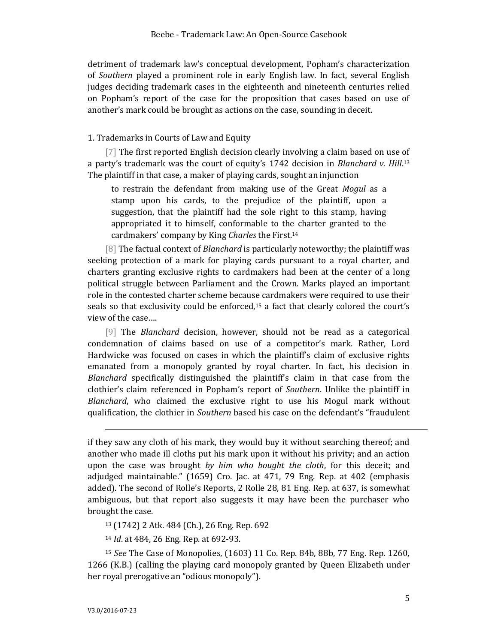detriment of trademark law's conceptual development, Popham's characterization of *Southern* played a prominent role in early English law. In fact, several English judges deciding trademark cases in the eighteenth and nineteenth centuries relied on Popham's report of the case for the proposition that cases based on use of another's mark could be brought as actions on the case, sounding in deceit.

## 1. Trademarks in Courts of Law and Equity

[7] The first reported English decision clearly involving a claim based on use of a party's trademark was the court of equity's 1742 decision in *Blanchard v. Hill*. 13 The plaintiff in that case, a maker of playing cards, sought an injunction

to restrain the defendant from making use of the Great *Mogul* as a stamp upon his cards, to the prejudice of the plaintiff, upon a suggestion, that the plaintiff had the sole right to this stamp, having appropriated it to himself, conformable to the charter granted to the cardmakers' company by King *Charles* the First.<sup>14</sup>

[8] The factual context of *Blanchard* is particularly noteworthy; the plaintiff was seeking protection of a mark for playing cards pursuant to a royal charter, and charters granting exclusive rights to cardmakers had been at the center of a long political struggle between Parliament and the Crown. Marks played an important role in the contested charter scheme because cardmakers were required to use their seals so that exclusivity could be enforced,<sup>15</sup> a fact that clearly colored the court's view of the case….

[9] The *Blanchard* decision, however, should not be read as a categorical condemnation of claims based on use of a competitor's mark. Rather, Lord Hardwicke was focused on cases in which the plaintiff's claim of exclusive rights emanated from a monopoly granted by royal charter. In fact, his decision in *Blanchard* specifically distinguished the plaintiff's claim in that case from the clothier's claim referenced in Popham's report of *Southern*. Unlike the plaintiff in *Blanchard*, who claimed the exclusive right to use his Mogul mark without qualification, the clothier in *Southern* based his case on the defendant's "fraudulent

if they saw any cloth of his mark, they would buy it without searching thereof; and another who made ill cloths put his mark upon it without his privity; and an action upon the case was brought *by him who bought the cloth*, for this deceit; and adjudged maintainable." (1659) Cro. Jac. at 471, 79 Eng. Rep. at 402 (emphasis added). The second of Rolle's Reports, 2 Rolle 28, 81 Eng. Rep. at 637, is somewhat ambiguous, but that report also suggests it may have been the purchaser who brought the case.

<sup>13</sup> (1742) 2 Atk. 484 (Ch.), 26 Eng. Rep. 692

<sup>14</sup> *Id*. at 484, 26 Eng. Rep. at 692-93.

<sup>15</sup> *See* The Case of Monopolies, (1603) 11 Co. Rep. 84b, 88b, 77 Eng. Rep. 1260, 1266 (K.B.) (calling the playing card monopoly granted by Queen Elizabeth under her royal prerogative an "odious monopoly").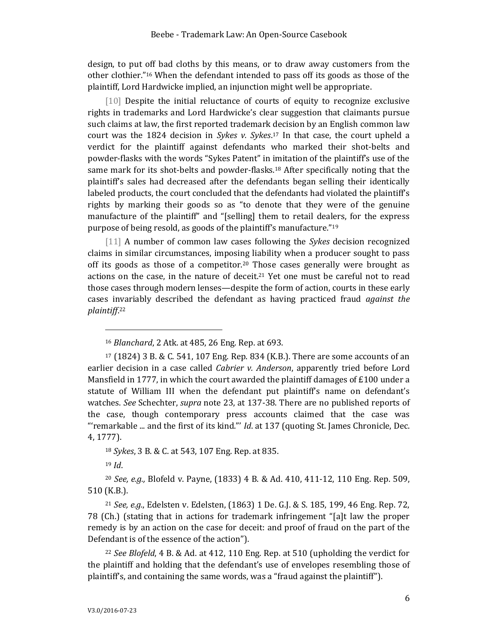design, to put off bad cloths by this means, or to draw away customers from the other clothier."<sup>16</sup> When the defendant intended to pass off its goods as those of the plaintiff, Lord Hardwicke implied, an injunction might well be appropriate.

[10] Despite the initial reluctance of courts of equity to recognize exclusive rights in trademarks and Lord Hardwicke's clear suggestion that claimants pursue such claims at law, the first reported trademark decision by an English common law court was the 1824 decision in *Sykes v. Sykes*. <sup>17</sup> In that case, the court upheld a verdict for the plaintiff against defendants who marked their shot-belts and powder-flasks with the words "Sykes Patent" in imitation of the plaintiff's use of the same mark for its shot-belts and powder-flasks.<sup>18</sup> After specifically noting that the plaintiff's sales had decreased after the defendants began selling their identically labeled products, the court concluded that the defendants had violated the plaintiff's rights by marking their goods so as "to denote that they were of the genuine manufacture of the plaintiff" and "[selling] them to retail dealers, for the express purpose of being resold, as goods of the plaintiff's manufacture."<sup>19</sup>

[11] A number of common law cases following the *Sykes* decision recognized claims in similar circumstances, imposing liability when a producer sought to pass off its goods as those of a competitor.<sup>20</sup> Those cases generally were brought as actions on the case, in the nature of deceit.<sup>21</sup> Yet one must be careful not to read those cases through modern lenses—despite the form of action, courts in these early cases invariably described the defendant as having practiced fraud *against the plaintiff*. 22

 $\overline{a}$ 

<sup>21</sup> *See, e.g.*, Edelsten v. Edelsten, (1863) 1 De. G.J. & S. 185, 199, 46 Eng. Rep. 72, 78 (Ch.) (stating that in actions for trademark infringement "[a]t law the proper remedy is by an action on the case for deceit: and proof of fraud on the part of the Defendant is of the essence of the action").

<sup>22</sup> *See Blofeld*, 4 B. & Ad. at 412, 110 Eng. Rep. at 510 (upholding the verdict for the plaintiff and holding that the defendant's use of envelopes resembling those of plaintiff's, and containing the same words, was a "fraud against the plaintiff").

<sup>16</sup> *Blanchard*, 2 Atk. at 485, 26 Eng. Rep. at 693.

<sup>17</sup> (1824) 3 B. & C. 541, 107 Eng. Rep. 834 (K.B.). There are some accounts of an earlier decision in a case called *Cabrier v. Anderson*, apparently tried before Lord Mansfield in 1777, in which the court awarded the plaintiff damages of £100 under a statute of William III when the defendant put plaintiff's name on defendant's watches. *See* Schechter, *supra* note 23, at 137-38. There are no published reports of the case, though contemporary press accounts claimed that the case was "'remarkable ... and the first of its kind."' *Id*. at 137 (quoting St. James Chronicle, Dec. 4, 1777).

<sup>18</sup> *Sykes*, 3 B. & C. at 543, 107 Eng. Rep. at 835.

<sup>19</sup> *Id*.

<sup>20</sup> *See, e.g.,* Blofeld v. Payne, (1833) 4 B. & Ad. 410, 411-12, 110 Eng. Rep. 509, 510 (K.B.).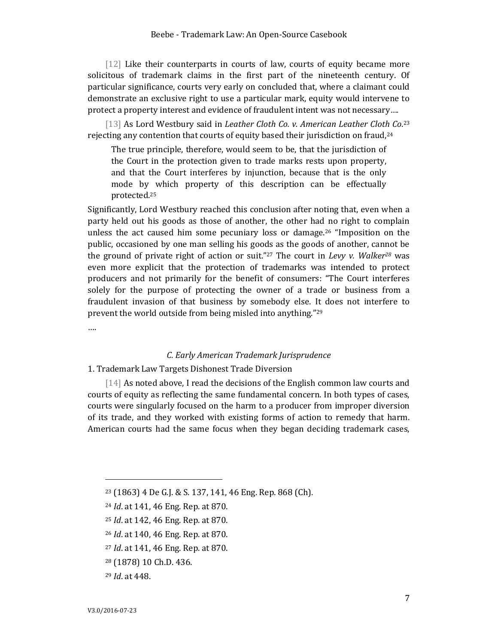[12] Like their counterparts in courts of law, courts of equity became more solicitous of trademark claims in the first part of the nineteenth century. Of particular significance, courts very early on concluded that, where a claimant could demonstrate an exclusive right to use a particular mark, equity would intervene to protect a property interest and evidence of fraudulent intent was not necessary….

[13] As Lord Westbury said in *Leather Cloth Co. v. American Leather Cloth Co*. 23 rejecting any contention that courts of equity based their jurisdiction on fraud, $24$ 

The true principle, therefore, would seem to be, that the jurisdiction of the Court in the protection given to trade marks rests upon property, and that the Court interferes by injunction, because that is the only mode by which property of this description can be effectually protected.<sup>25</sup>

Significantly, Lord Westbury reached this conclusion after noting that, even when a party held out his goods as those of another, the other had no right to complain unless the act caused him some pecuniary loss or damage.<sup>26</sup> "Imposition on the public, occasioned by one man selling his goods as the goods of another, cannot be the ground of private right of action or suit."<sup>27</sup> The court in *Levy v. Walker<sup>28</sup>* was even more explicit that the protection of trademarks was intended to protect producers and not primarily for the benefit of consumers: "The Court interferes solely for the purpose of protecting the owner of a trade or business from a fraudulent invasion of that business by somebody else. It does not interfere to prevent the world outside from being misled into anything."<sup>29</sup>

….

### *C. Early American Trademark Jurisprudence*

## 1. Trademark Law Targets Dishonest Trade Diversion

[14] As noted above, I read the decisions of the English common law courts and courts of equity as reflecting the same fundamental concern. In both types of cases, courts were singularly focused on the harm to a producer from improper diversion of its trade, and they worked with existing forms of action to remedy that harm. American courts had the same focus when they began deciding trademark cases,

<sup>23</sup> (1863) 4 De G.J. & S. 137, 141, 46 Eng. Rep. 868 (Ch).

<sup>24</sup> *Id*. at 141, 46 Eng. Rep. at 870.

<sup>25</sup> *Id*. at 142, 46 Eng. Rep. at 870.

<sup>26</sup> *Id*. at 140, 46 Eng. Rep. at 870.

<sup>27</sup> *Id*. at 141, 46 Eng. Rep. at 870.

<sup>28</sup> (1878) 10 Ch.D. 436.

<sup>29</sup> *Id*. at 448.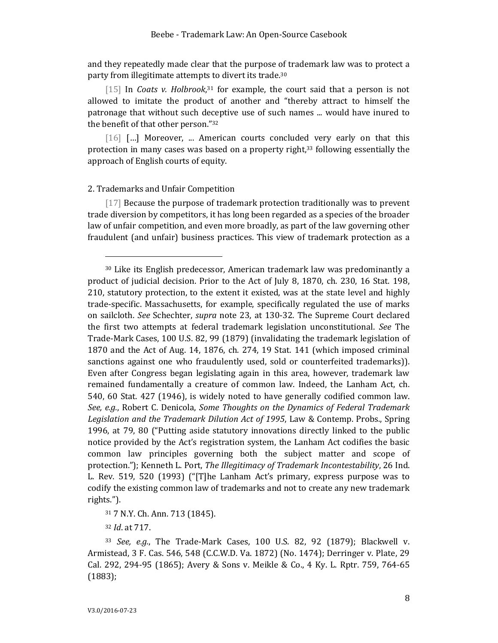and they repeatedly made clear that the purpose of trademark law was to protect a party from illegitimate attempts to divert its trade.<sup>30</sup>

[15] In *Coats v. Holbrook*,<sup>31</sup> for example, the court said that a person is not allowed to imitate the product of another and "thereby attract to himself the patronage that without such deceptive use of such names ... would have inured to the benefit of that other person."<sup>32</sup>

[16] [...] Moreover, ... American courts concluded very early on that this protection in many cases was based on a property right,<sup>33</sup> following essentially the approach of English courts of equity.

## 2. Trademarks and Unfair Competition

 $\overline{a}$ 

[17] Because the purpose of trademark protection traditionally was to prevent trade diversion by competitors, it has long been regarded as a species of the broader law of unfair competition, and even more broadly, as part of the law governing other fraudulent (and unfair) business practices. This view of trademark protection as a

<sup>31</sup> 7 N.Y. Ch. Ann. 713 (1845).

<sup>32</sup> *Id*. at 717.

<sup>30</sup> Like its English predecessor, American trademark law was predominantly a product of judicial decision. Prior to the Act of July 8, 1870, ch. 230, 16 Stat. 198, 210, statutory protection, to the extent it existed, was at the state level and highly trade-specific. Massachusetts, for example, specifically regulated the use of marks on sailcloth. *See* Schechter, *supra* note 23, at 130-32. The Supreme Court declared the first two attempts at federal trademark legislation unconstitutional. *See* The Trade-Mark Cases, 100 U.S. 82, 99 (1879) (invalidating the trademark legislation of 1870 and the Act of Aug. 14, 1876, ch. 274, 19 Stat. 141 (which imposed criminal sanctions against one who fraudulently used, sold or counterfeited trademarks)). Even after Congress began legislating again in this area, however, trademark law remained fundamentally a creature of common law. Indeed, the Lanham Act, ch. 540, 60 Stat. 427 (1946), is widely noted to have generally codified common law. *See, e.g.*, Robert C. Denicola, *Some Thoughts on the Dynamics of Federal Trademark Legislation and the Trademark Dilution Act of 1995*, Law & Contemp. Probs., Spring 1996, at 79, 80 ("Putting aside statutory innovations directly linked to the public notice provided by the Act's registration system, the Lanham Act codifies the basic common law principles governing both the subject matter and scope of protection."); Kenneth L. Port, *The Illegitimacy of Trademark Incontestability*, 26 Ind. L. Rev. 519, 520 (1993) ("[T]he Lanham Act's primary, express purpose was to codify the existing common law of trademarks and not to create any new trademark rights.").

<sup>33</sup> *See, e.g.*, The Trade-Mark Cases, 100 U.S. 82, 92 (1879); Blackwell v. Armistead, 3 F. Cas. 546, 548 (C.C.W.D. Va. 1872) (No. 1474); Derringer v. Plate, 29 Cal. 292, 294-95 (1865); Avery & Sons v. Meikle & Co., 4 Ky. L. Rptr. 759, 764-65 (1883);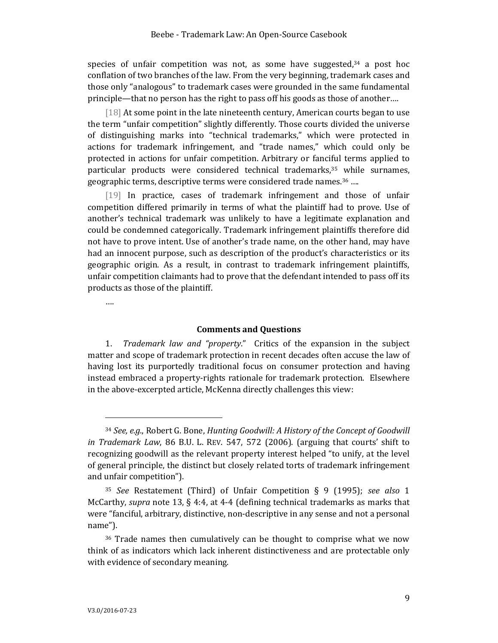species of unfair competition was not, as some have suggested, $34$  a post hoc conflation of two branches of the law. From the very beginning, trademark cases and those only "analogous" to trademark cases were grounded in the same fundamental principle—that no person has the right to pass off his goods as those of another….

[18] At some point in the late nineteenth century, American courts began to use the term "unfair competition" slightly differently. Those courts divided the universe of distinguishing marks into "technical trademarks," which were protected in actions for trademark infringement, and "trade names," which could only be protected in actions for unfair competition. Arbitrary or fanciful terms applied to particular products were considered technical trademarks,<sup>35</sup> while surnames, geographic terms, descriptive terms were considered trade names.<sup>36</sup> ….

[19] In practice, cases of trademark infringement and those of unfair competition differed primarily in terms of what the plaintiff had to prove. Use of another's technical trademark was unlikely to have a legitimate explanation and could be condemned categorically. Trademark infringement plaintiffs therefore did not have to prove intent. Use of another's trade name, on the other hand, may have had an innocent purpose, such as description of the product's characteristics or its geographic origin. As a result, in contrast to trademark infringement plaintiffs, unfair competition claimants had to prove that the defendant intended to pass off its products as those of the plaintiff.

….

 $\overline{a}$ 

## **Comments and Questions**

1. *Trademark law and "property*." Critics of the expansion in the subject matter and scope of trademark protection in recent decades often accuse the law of having lost its purportedly traditional focus on consumer protection and having instead embraced a property-rights rationale for trademark protection. Elsewhere in the above-excerpted article, McKenna directly challenges this view:

<sup>34</sup> *See, e.g.*, Robert G. Bone, *Hunting Goodwill: A History of the Concept of Goodwill in Trademark Law*, 86 B.U. L. REV. 547, 572 (2006). (arguing that courts' shift to recognizing goodwill as the relevant property interest helped "to unify, at the level of general principle, the distinct but closely related torts of trademark infringement and unfair competition").

<sup>35</sup> *See* Restatement (Third) of Unfair Competition § 9 (1995); *see also* 1 McCarthy, *supra* note 13, § 4:4, at 4-4 (defining technical trademarks as marks that were "fanciful, arbitrary, distinctive, non-descriptive in any sense and not a personal name").

<sup>&</sup>lt;sup>36</sup> Trade names then cumulatively can be thought to comprise what we now think of as indicators which lack inherent distinctiveness and are protectable only with evidence of secondary meaning.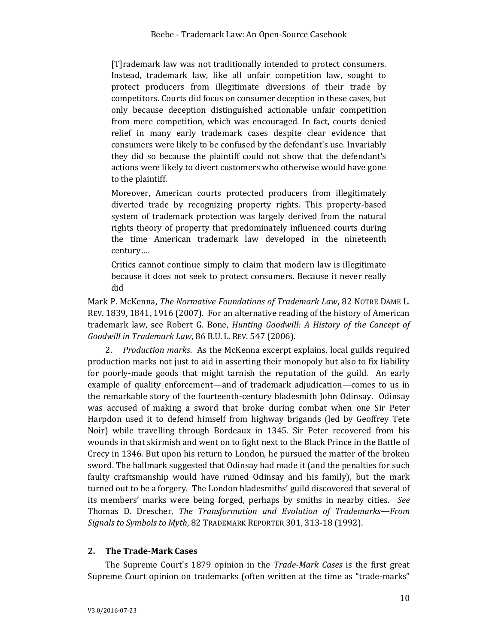[T]rademark law was not traditionally intended to protect consumers. Instead, trademark law, like all unfair competition law, sought to protect producers from illegitimate diversions of their trade by competitors. Courts did focus on consumer deception in these cases, but only because deception distinguished actionable unfair competition from mere competition, which was encouraged. In fact, courts denied relief in many early trademark cases despite clear evidence that consumers were likely to be confused by the defendant's use. Invariably they did so because the plaintiff could not show that the defendant's actions were likely to divert customers who otherwise would have gone to the plaintiff.

Moreover, American courts protected producers from illegitimately diverted trade by recognizing property rights. This property-based system of trademark protection was largely derived from the natural rights theory of property that predominately influenced courts during the time American trademark law developed in the nineteenth century….

Critics cannot continue simply to claim that modern law is illegitimate because it does not seek to protect consumers. Because it never really did

Mark P. McKenna, *The Normative Foundations of Trademark Law*, 82 NOTRE DAME L. REV. 1839, 1841, 1916 (2007). For an alternative reading of the history of American trademark law, see Robert G. Bone, *Hunting Goodwill: A History of the Concept of Goodwill in Trademark Law*, 86 B.U. L. REV. 547 (2006).

2. *Production marks*. As the McKenna excerpt explains, local guilds required production marks not just to aid in asserting their monopoly but also to fix liability for poorly-made goods that might tarnish the reputation of the guild. An early example of quality enforcement—and of trademark adjudication—comes to us in the remarkable story of the fourteenth-century bladesmith John Odinsay. Odinsay was accused of making a sword that broke during combat when one Sir Peter Harpdon used it to defend himself from highway brigands (led by Geoffrey Tete Noir) while travelling through Bordeaux in 1345. Sir Peter recovered from his wounds in that skirmish and went on to fight next to the Black Prince in the Battle of Crecy in 1346. But upon his return to London, he pursued the matter of the broken sword. The hallmark suggested that Odinsay had made it (and the penalties for such faulty craftsmanship would have ruined Odinsay and his family), but the mark turned out to be a forgery. The London bladesmiths' guild discovered that several of its members' marks were being forged, perhaps by smiths in nearby cities. *See* Thomas D. Drescher, *The Transformation and Evolution of Trademarks—From Signals to Symbols to Myth*, 82 TRADEMARK REPORTER 301, 313-18 (1992).

# <span id="page-9-0"></span>**2. The Trade-Mark Cases**

The Supreme Court's 1879 opinion in the *Trade-Mark Cases* is the first great Supreme Court opinion on trademarks (often written at the time as "trade-marks"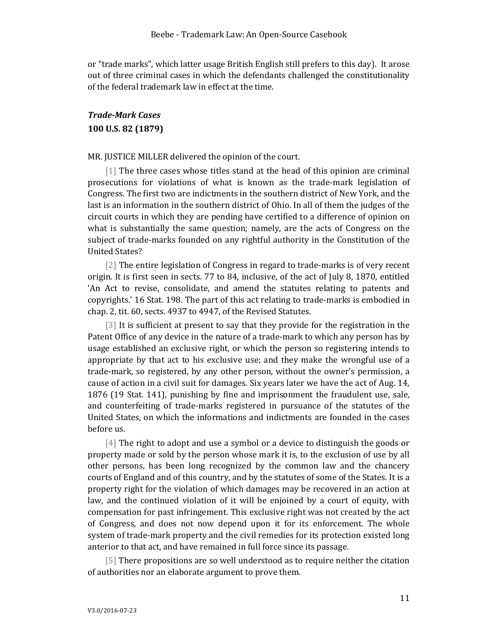or "trade marks", which latter usage British English still prefers to this day). It arose out of three criminal cases in which the defendants challenged the constitutionality of the federal trademark law in effect at the time.

# <span id="page-10-0"></span>*Trade-Mark Cases* **100 U.S. 82 (1879)**

## MR. JUSTICE MILLER delivered the opinion of the court.

[1] The three cases whose titles stand at the head of this opinion are criminal prosecutions for violations of what is known as the trade-mark legislation of Congress. The first two are indictments in the southern district of New York, and the last is an information in the southern district of Ohio. In all of them the judges of the circuit courts in which they are pending have certified to a difference of opinion on what is substantially the same question; namely, are the acts of Congress on the subject of trade-marks founded on any rightful authority in the Constitution of the United States?

[2] The entire legislation of Congress in regard to trade-marks is of very recent origin. It is first seen in sects. 77 to 84, inclusive, of the act of July 8, 1870, entitled 'An Act to revise, consolidate, and amend the statutes relating to patents and copyrights.' 16 Stat. 198. The part of this act relating to trade-marks is embodied in chap. 2, tit. 60, sects. 4937 to 4947, of the Revised Statutes.

[3] It is sufficient at present to say that they provide for the registration in the Patent Office of any device in the nature of a trade-mark to which any person has by usage established an exclusive right, or which the person so registering intends to appropriate by that act to his exclusive use; and they make the wrongful use of a trade-mark, so registered, by any other person, without the owner's permission, a cause of action in a civil suit for damages. Six years later we have the act of Aug. 14, 1876 (19 Stat. 141), punishing by fine and imprisonment the fraudulent use, sale, and counterfeiting of trade-marks registered in pursuance of the statutes of the United States, on which the informations and indictments are founded in the cases before us.

[4] The right to adopt and use a symbol or a device to distinguish the goods or property made or sold by the person whose mark it is, to the exclusion of use by all other persons, has been long recognized by the common law and the chancery courts of England and of this country, and by the statutes of some of the States. It is a property right for the violation of which damages may be recovered in an action at law, and the continued violation of it will be enjoined by a court of equity, with compensation for past infringement. This exclusive right was not created by the act of Congress, and does not now depend upon it for its enforcement. The whole system of trade-mark property and the civil remedies for its protection existed long anterior to that act, and have remained in full force since its passage.

[5] There propositions are so well understood as to require neither the citation of authorities nor an elaborate argument to prove them.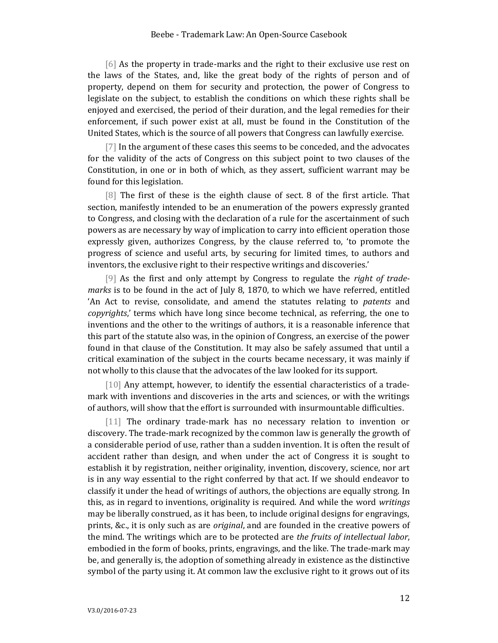[6] As the property in trade-marks and the right to their exclusive use rest on the laws of the States, and, like the great body of the rights of person and of property, depend on them for security and protection, the power of Congress to legislate on the subject, to establish the conditions on which these rights shall be enjoyed and exercised, the period of their duration, and the legal remedies for their enforcement, if such power exist at all, must be found in the Constitution of the United States, which is the source of all powers that Congress can lawfully exercise.

[7] In the argument of these cases this seems to be conceded, and the advocates for the validity of the acts of Congress on this subject point to two clauses of the Constitution, in one or in both of which, as they assert, sufficient warrant may be found for this legislation.

[8] The first of these is the eighth clause of sect. 8 of the first article. That section, manifestly intended to be an enumeration of the powers expressly granted to Congress, and closing with the declaration of a rule for the ascertainment of such powers as are necessary by way of implication to carry into efficient operation those expressly given, authorizes Congress, by the clause referred to, 'to promote the progress of science and useful arts, by securing for limited times, to authors and inventors, the exclusive right to their respective writings and discoveries.'

[9] As the first and only attempt by Congress to regulate the *right of trademarks* is to be found in the act of July 8, 1870, to which we have referred, entitled 'An Act to revise, consolidate, and amend the statutes relating to *patents* and *copyrights*,' terms which have long since become technical, as referring, the one to inventions and the other to the writings of authors, it is a reasonable inference that this part of the statute also was, in the opinion of Congress, an exercise of the power found in that clause of the Constitution. It may also be safely assumed that until a critical examination of the subject in the courts became necessary, it was mainly if not wholly to this clause that the advocates of the law looked for its support.

[10] Any attempt, however, to identify the essential characteristics of a trademark with inventions and discoveries in the arts and sciences, or with the writings of authors, will show that the effort is surrounded with insurmountable difficulties.

[11] The ordinary trade-mark has no necessary relation to invention or discovery. The trade-mark recognized by the common law is generally the growth of a considerable period of use, rather than a sudden invention. It is often the result of accident rather than design, and when under the act of Congress it is sought to establish it by registration, neither originality, invention, discovery, science, nor art is in any way essential to the right conferred by that act. If we should endeavor to classify it under the head of writings of authors, the objections are equally strong. In this, as in regard to inventions, originality is required. And while the word *writings* may be liberally construed, as it has been, to include original designs for engravings, prints, &c., it is only such as are *original*, and are founded in the creative powers of the mind. The writings which are to be protected are *the fruits of intellectual labor*, embodied in the form of books, prints, engravings, and the like. The trade-mark may be, and generally is, the adoption of something already in existence as the distinctive symbol of the party using it. At common law the exclusive right to it grows out of its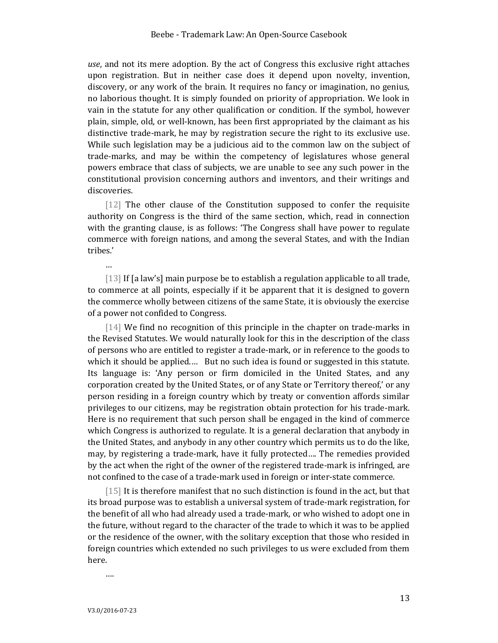*use*, and not its mere adoption. By the act of Congress this exclusive right attaches upon registration. But in neither case does it depend upon novelty, invention, discovery, or any work of the brain. It requires no fancy or imagination, no genius, no laborious thought. It is simply founded on priority of appropriation. We look in vain in the statute for any other qualification or condition. If the symbol, however plain, simple, old, or well-known, has been first appropriated by the claimant as his distinctive trade-mark, he may by registration secure the right to its exclusive use. While such legislation may be a judicious aid to the common law on the subject of trade-marks, and may be within the competency of legislatures whose general powers embrace that class of subjects, we are unable to see any such power in the constitutional provision concerning authors and inventors, and their writings and discoveries.

[12] The other clause of the Constitution supposed to confer the requisite authority on Congress is the third of the same section, which, read in connection with the granting clause, is as follows: 'The Congress shall have power to regulate commerce with foreign nations, and among the several States, and with the Indian tribes.'

[13] If [a law's] main purpose be to establish a regulation applicable to all trade, to commerce at all points, especially if it be apparent that it is designed to govern the commerce wholly between citizens of the same State, it is obviously the exercise of a power not confided to Congress.

[14] We find no recognition of this principle in the chapter on trade-marks in the Revised Statutes. We would naturally look for this in the description of the class of persons who are entitled to register a trade-mark, or in reference to the goods to which it should be applied.… But no such idea is found or suggested in this statute. Its language is: 'Any person or firm domiciled in the United States, and any corporation created by the United States, or of any State or Territory thereof,' or any person residing in a foreign country which by treaty or convention affords similar privileges to our citizens, may be registration obtain protection for his trade-mark. Here is no requirement that such person shall be engaged in the kind of commerce which Congress is authorized to regulate. It is a general declaration that anybody in the United States, and anybody in any other country which permits us to do the like, may, by registering a trade-mark, have it fully protected…. The remedies provided by the act when the right of the owner of the registered trade-mark is infringed, are not confined to the case of a trade-mark used in foreign or inter-state commerce.

[15] It is therefore manifest that no such distinction is found in the act, but that its broad purpose was to establish a universal system of trade-mark registration, for the benefit of all who had already used a trade-mark, or who wished to adopt one in the future, without regard to the character of the trade to which it was to be applied or the residence of the owner, with the solitary exception that those who resided in foreign countries which extended no such privileges to us were excluded from them here.

….

…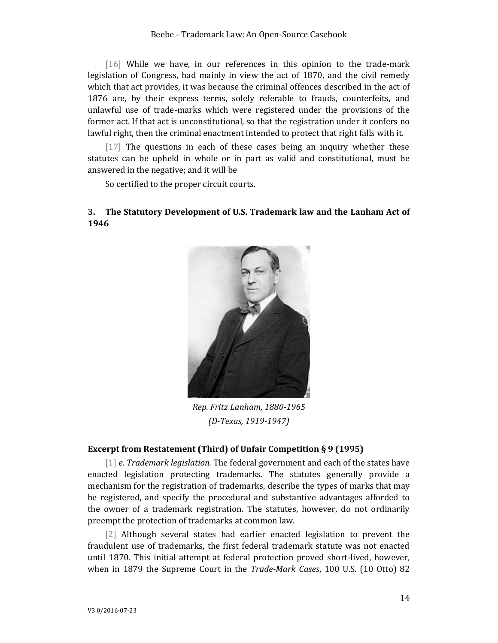[16] While we have, in our references in this opinion to the trade-mark legislation of Congress, had mainly in view the act of 1870, and the civil remedy which that act provides, it was because the criminal offences described in the act of 1876 are, by their express terms, solely referable to frauds, counterfeits, and unlawful use of trade-marks which were registered under the provisions of the former act. If that act is unconstitutional, so that the registration under it confers no lawful right, then the criminal enactment intended to protect that right falls with it.

[17] The questions in each of these cases being an inquiry whether these statutes can be upheld in whole or in part as valid and constitutional, must be answered in the negative; and it will be

So certified to the proper circuit courts.

# <span id="page-13-0"></span>**3. The Statutory Development of U.S. Trademark law and the Lanham Act of 1946**



*Rep. Fritz Lanham, 1880-1965 (D-Texas, 1919-1947)*

# **Excerpt from Restatement (Third) of Unfair Competition § 9 (1995)**

[1] *e*. *Trademark legislation.* The federal government and each of the states have enacted legislation protecting trademarks. The statutes generally provide a mechanism for the registration of trademarks, describe the types of marks that may be registered, and specify the procedural and substantive advantages afforded to the owner of a trademark registration. The statutes, however, do not ordinarily preempt the protection of trademarks at common law.

[2] Although several states had earlier enacted legislation to prevent the fraudulent use of trademarks, the first federal trademark statute was not enacted until 1870. This initial attempt at federal protection proved short-lived, however, when in 1879 the Supreme Court in the *Trade-Mark Cases*, 100 U.S. (10 Otto) 82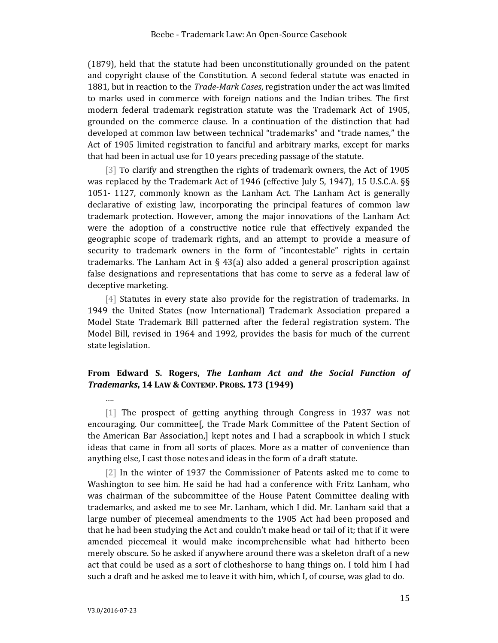(1879), held that the statute had been unconstitutionally grounded on the patent and copyright clause of the Constitution. A second federal statute was enacted in 1881, but in reaction to the *Trade-Mark Cases*, registration under the act was limited to marks used in commerce with foreign nations and the Indian tribes. The first modern federal trademark registration statute was the Trademark Act of 1905, grounded on the commerce clause. In a continuation of the distinction that had developed at common law between technical "trademarks" and "trade names," the Act of 1905 limited registration to fanciful and arbitrary marks, except for marks that had been in actual use for 10 years preceding passage of the statute.

[3] To clarify and strengthen the rights of trademark owners, the Act of 1905 was replaced by the Trademark Act of 1946 (effective July 5, 1947), 15 U.S.C.A. §§ 1051- 1127, commonly known as the Lanham Act. The Lanham Act is generally declarative of existing law, incorporating the principal features of common law trademark protection. However, among the major innovations of the Lanham Act were the adoption of a constructive notice rule that effectively expanded the geographic scope of trademark rights, and an attempt to provide a measure of security to trademark owners in the form of "incontestable" rights in certain trademarks. The Lanham Act in  $\S$  43(a) also added a general proscription against false designations and representations that has come to serve as a federal law of deceptive marketing.

[4] Statutes in every state also provide for the registration of trademarks. In 1949 the United States (now International) Trademark Association prepared a Model State Trademark Bill patterned after the federal registration system. The Model Bill, revised in 1964 and 1992, provides the basis for much of the current state legislation.

# **From Edward S. Rogers,** *The Lanham Act and the Social Function of Trademarks***, 14 LAW & CONTEMP. PROBS. 173 (1949)**

[1] The prospect of getting anything through Congress in 1937 was not encouraging. Our committee[, the Trade Mark Committee of the Patent Section of the American Bar Association,] kept notes and I had a scrapbook in which I stuck ideas that came in from all sorts of places. More as a matter of convenience than anything else, I cast those notes and ideas in the form of a draft statute.

[2] In the winter of 1937 the Commissioner of Patents asked me to come to Washington to see him. He said he had had a conference with Fritz Lanham, who was chairman of the subcommittee of the House Patent Committee dealing with trademarks, and asked me to see Mr. Lanham, which I did. Mr. Lanham said that a large number of piecemeal amendments to the 1905 Act had been proposed and that he had been studying the Act and couldn't make head or tail of it; that if it were amended piecemeal it would make incomprehensible what had hitherto been merely obscure. So he asked if anywhere around there was a skeleton draft of a new act that could be used as a sort of clotheshorse to hang things on. I told him I had such a draft and he asked me to leave it with him, which I, of course, was glad to do.

….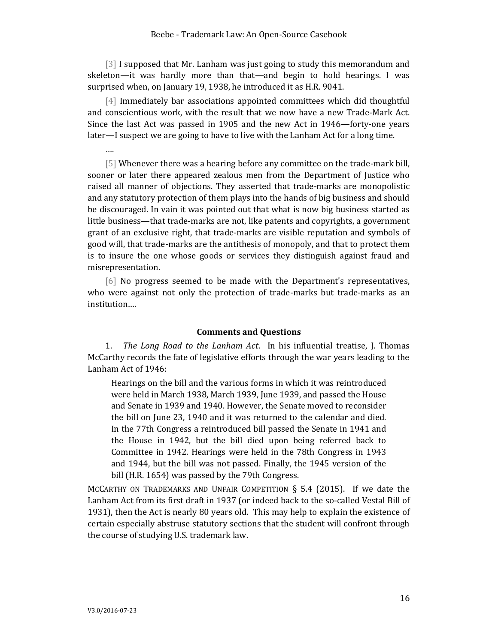[3] I supposed that Mr. Lanham was just going to study this memorandum and skeleton—it was hardly more than that—and begin to hold hearings. I was surprised when, on January 19, 1938, he introduced it as H.R. 9041.

[4] Immediately bar associations appointed committees which did thoughtful and conscientious work, with the result that we now have a new Trade-Mark Act. Since the last Act was passed in 1905 and the new Act in 1946—forty-one years later—I suspect we are going to have to live with the Lanham Act for a long time.

[5] Whenever there was a hearing before any committee on the trade-mark bill, sooner or later there appeared zealous men from the Department of Justice who raised all manner of objections. They asserted that trade-marks are monopolistic and any statutory protection of them plays into the hands of big business and should be discouraged. In vain it was pointed out that what is now big business started as little business—that trade-marks are not, like patents and copyrights, a government grant of an exclusive right, that trade-marks are visible reputation and symbols of good will, that trade-marks are the antithesis of monopoly, and that to protect them is to insure the one whose goods or services they distinguish against fraud and misrepresentation.

[6] No progress seemed to be made with the Department's representatives, who were against not only the protection of trade-marks but trade-marks as an institution….

#### **Comments and Questions**

1. *The Long Road to the Lanham Act*. In his influential treatise, J. Thomas McCarthy records the fate of legislative efforts through the war years leading to the Lanham Act of 1946:

Hearings on the bill and the various forms in which it was reintroduced were held in March 1938, March 1939, June 1939, and passed the House and Senate in 1939 and 1940. However, the Senate moved to reconsider the bill on June 23, 1940 and it was returned to the calendar and died. In the 77th Congress a reintroduced bill passed the Senate in 1941 and the House in 1942, but the bill died upon being referred back to Committee in 1942. Hearings were held in the 78th Congress in 1943 and 1944, but the bill was not passed. Finally, the 1945 version of the bill (H.R. 1654) was passed by the 79th Congress.

MCCARTHY ON TRADEMARKS AND UNFAIR COMPETITION  $\S$  5.4 (2015). If we date the Lanham Act from its first draft in 1937 (or indeed back to the so-called Vestal Bill of 1931), then the Act is nearly 80 years old. This may help to explain the existence of certain especially abstruse statutory sections that the student will confront through the course of studying U.S. trademark law.

….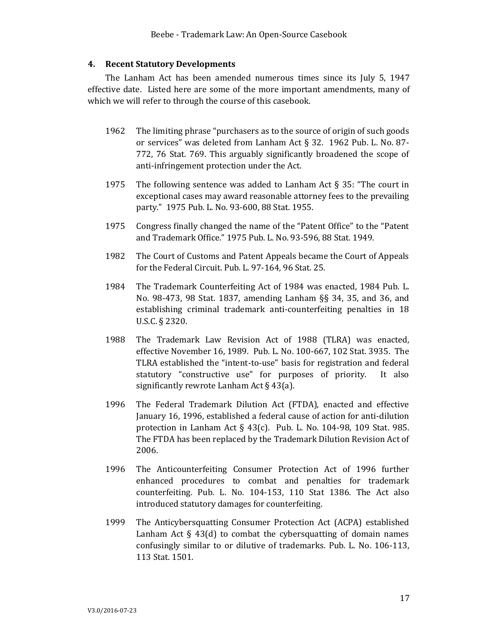## <span id="page-16-0"></span>**4. Recent Statutory Developments**

The Lanham Act has been amended numerous times since its July 5, 1947 effective date. Listed here are some of the more important amendments, many of which we will refer to through the course of this casebook.

- 1962 The limiting phrase "purchasers as to the source of origin of such goods or services" was deleted from Lanham Act § 32. 1962 Pub. L. No. 87- 772, 76 Stat. 769. This arguably significantly broadened the scope of anti-infringement protection under the Act.
- 1975 The following sentence was added to Lanham Act  $\S$  35: "The court in exceptional cases may award reasonable attorney fees to the prevailing party." 1975 Pub. L. No. 93-600, 88 Stat. 1955.
- 1975 Congress finally changed the name of the "Patent Office" to the "Patent and Trademark Office." 1975 Pub. L. No. 93-596, 88 Stat. 1949.
- 1982 The Court of Customs and Patent Appeals became the Court of Appeals for the Federal Circuit. Pub. L. 97-164, 96 Stat. 25.
- 1984 The Trademark Counterfeiting Act of 1984 was enacted, 1984 Pub. L. No. 98-473, 98 Stat. 1837, amending Lanham §§ 34, 35, and 36, and establishing criminal trademark anti-counterfeiting penalties in 18 U.S.C. § 2320.
- 1988 The Trademark Law Revision Act of 1988 (TLRA) was enacted, effective November 16, 1989. Pub. L. No. 100-667, 102 Stat. 3935. The TLRA established the "intent-to-use" basis for registration and federal statutory "constructive use" for purposes of priority. It also significantly rewrote Lanham Act  $\S$  43(a).
- 1996 The Federal Trademark Dilution Act (FTDA), enacted and effective January 16, 1996, established a federal cause of action for anti-dilution protection in Lanham Act § 43(c). Pub. L. No. 104-98, 109 Stat. 985. The FTDA has been replaced by the Trademark Dilution Revision Act of 2006.
- 1996 The Anticounterfeiting Consumer Protection Act of 1996 further enhanced procedures to combat and penalties for trademark counterfeiting. Pub. L. No. 104-153, 110 Stat 1386. The Act also introduced statutory damages for counterfeiting.
- 1999 The Anticybersquatting Consumer Protection Act (ACPA) established Lanham Act  $\S$  43(d) to combat the cybersquatting of domain names confusingly similar to or dilutive of trademarks. Pub. L. No. 106-113, 113 Stat. 1501.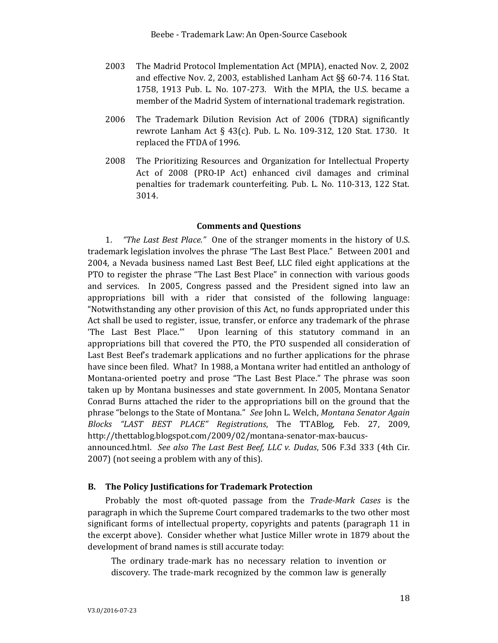- 2003 The Madrid Protocol Implementation Act (MPIA), enacted Nov. 2, 2002 and effective Nov. 2, 2003, established Lanham Act §§ 60-74. 116 Stat. 1758, 1913 Pub. L. No. 107-273. With the MPIA, the U.S. became a member of the Madrid System of international trademark registration.
- 2006 The Trademark Dilution Revision Act of 2006 (TDRA) significantly rewrote Lanham Act § 43(c). Pub. L. No. 109-312, 120 Stat. 1730. It replaced the FTDA of 1996.
- 2008 The Prioritizing Resources and Organization for Intellectual Property Act of 2008 (PRO-IP Act) enhanced civil damages and criminal penalties for trademark counterfeiting. Pub. L. No. 110-313, 122 Stat. 3014.

## **Comments and Questions**

1. *"The Last Best Place."* One of the stranger moments in the history of U.S. trademark legislation involves the phrase "The Last Best Place." Between 2001 and 2004, a Nevada business named Last Best Beef, LLC filed eight applications at the PTO to register the phrase "The Last Best Place" in connection with various goods and services. In 2005, Congress passed and the President signed into law an appropriations bill with a rider that consisted of the following language: "Notwithstanding any other provision of this Act, no funds appropriated under this Act shall be used to register, issue, transfer, or enforce any trademark of the phrase 'The Last Best Place.'" Upon learning of this statutory command in an appropriations bill that covered the PTO, the PTO suspended all consideration of Last Best Beef's trademark applications and no further applications for the phrase have since been filed. What? In 1988, a Montana writer had entitled an anthology of Montana-oriented poetry and prose "The Last Best Place." The phrase was soon taken up by Montana businesses and state government. In 2005, Montana Senator Conrad Burns attached the rider to the appropriations bill on the ground that the phrase "belongs to the State of Montana." *See* John L. Welch, *Montana Senator Again Blocks "LAST BEST PLACE" Registrations*, The TTABlog, Feb. 27, 2009, http://thettablog.blogspot.com/2009/02/montana-senator-max-baucus-

announced.html. *See also The Last Best Beef, LLC v. Dudas*, 506 F.3d 333 (4th Cir. 2007) (not seeing a problem with any of this).

# <span id="page-17-0"></span>**B. The Policy Justifications for Trademark Protection**

Probably the most oft-quoted passage from the *Trade-Mark Cases* is the paragraph in which the Supreme Court compared trademarks to the two other most significant forms of intellectual property, copyrights and patents (paragraph 11 in the excerpt above). Consider whether what Justice Miller wrote in 1879 about the development of brand names is still accurate today:

The ordinary trade-mark has no necessary relation to invention or discovery. The trade-mark recognized by the common law is generally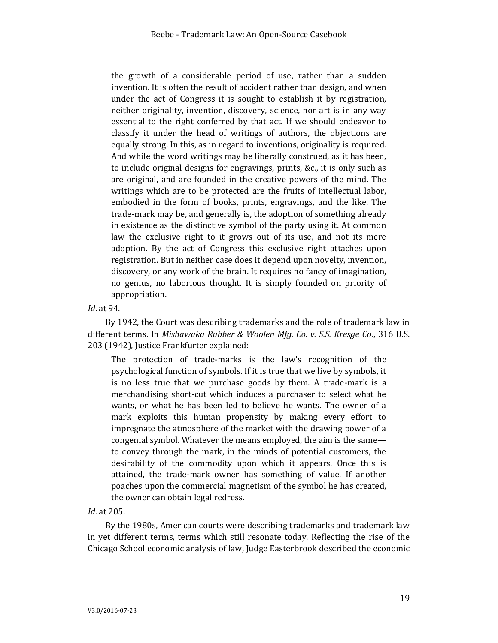the growth of a considerable period of use, rather than a sudden invention. It is often the result of accident rather than design, and when under the act of Congress it is sought to establish it by registration, neither originality, invention, discovery, science, nor art is in any way essential to the right conferred by that act. If we should endeavor to classify it under the head of writings of authors, the objections are equally strong. In this, as in regard to inventions, originality is required. And while the word writings may be liberally construed, as it has been, to include original designs for engravings, prints, &c., it is only such as are original, and are founded in the creative powers of the mind. The writings which are to be protected are the fruits of intellectual labor, embodied in the form of books, prints, engravings, and the like. The trade-mark may be, and generally is, the adoption of something already in existence as the distinctive symbol of the party using it. At common law the exclusive right to it grows out of its use, and not its mere adoption. By the act of Congress this exclusive right attaches upon registration. But in neither case does it depend upon novelty, invention, discovery, or any work of the brain. It requires no fancy of imagination, no genius, no laborious thought. It is simply founded on priority of appropriation.

*Id*. at 94.

By 1942, the Court was describing trademarks and the role of trademark law in different terms. In *Mishawaka Rubber & Woolen Mfg. Co. v. S.S. Kresge Co*., 316 U.S. 203 (1942), Justice Frankfurter explained:

The protection of trade-marks is the law's recognition of the psychological function of symbols. If it is true that we live by symbols, it is no less true that we purchase goods by them. A trade-mark is a merchandising short-cut which induces a purchaser to select what he wants, or what he has been led to believe he wants. The owner of a mark exploits this human propensity by making every effort to impregnate the atmosphere of the market with the drawing power of a congenial symbol. Whatever the means employed, the aim is the same to convey through the mark, in the minds of potential customers, the desirability of the commodity upon which it appears. Once this is attained, the trade-mark owner has something of value. If another poaches upon the commercial magnetism of the symbol he has created, the owner can obtain legal redress.

## *Id*. at 205.

By the 1980s, American courts were describing trademarks and trademark law in yet different terms, terms which still resonate today. Reflecting the rise of the Chicago School economic analysis of law, Judge Easterbrook described the economic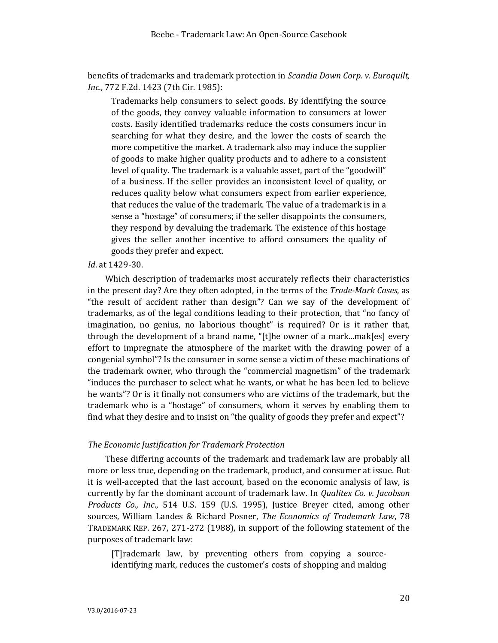benefits of trademarks and trademark protection in *Scandia Down Corp. v. Euroquilt, Inc.*, 772 F.2d. 1423 (7th Cir. 1985):

Trademarks help consumers to select goods. By identifying the source of the goods, they convey valuable information to consumers at lower costs. Easily identified trademarks reduce the costs consumers incur in searching for what they desire, and the lower the costs of search the more competitive the market. A trademark also may induce the supplier of goods to make higher quality products and to adhere to a consistent level of quality. The trademark is a valuable asset, part of the "goodwill" of a business. If the seller provides an inconsistent level of quality, or reduces quality below what consumers expect from earlier experience, that reduces the value of the trademark. The value of a trademark is in a sense a "hostage" of consumers; if the seller disappoints the consumers, they respond by devaluing the trademark. The existence of this hostage gives the seller another incentive to afford consumers the quality of goods they prefer and expect.

## *Id*. at 1429-30.

Which description of trademarks most accurately reflects their characteristics in the present day? Are they often adopted, in the terms of the *Trade-Mark Cases*, as "the result of accident rather than design"? Can we say of the development of trademarks, as of the legal conditions leading to their protection, that "no fancy of imagination, no genius, no laborious thought" is required? Or is it rather that, through the development of a brand name, "[t]he owner of a mark...mak[es] every effort to impregnate the atmosphere of the market with the drawing power of a congenial symbol"? Is the consumer in some sense a victim of these machinations of the trademark owner, who through the "commercial magnetism" of the trademark "induces the purchaser to select what he wants, or what he has been led to believe he wants"? Or is it finally not consumers who are victims of the trademark, but the trademark who is a "hostage" of consumers, whom it serves by enabling them to find what they desire and to insist on "the quality of goods they prefer and expect"?

## *The Economic Justification for Trademark Protection*

These differing accounts of the trademark and trademark law are probably all more or less true, depending on the trademark, product, and consumer at issue. But it is well-accepted that the last account, based on the economic analysis of law, is currently by far the dominant account of trademark law. In *Qualitex Co. v. Jacobson Products Co., Inc*., 514 U.S. 159 (U.S. 1995), Justice Breyer cited, among other sources, William Landes & Richard Posner, *The Economics of Trademark Law*, 78 TRADEMARK REP. 267, 271-272 (1988), in support of the following statement of the purposes of trademark law:

[T]rademark law, by preventing others from copying a sourceidentifying mark, reduces the customer's costs of shopping and making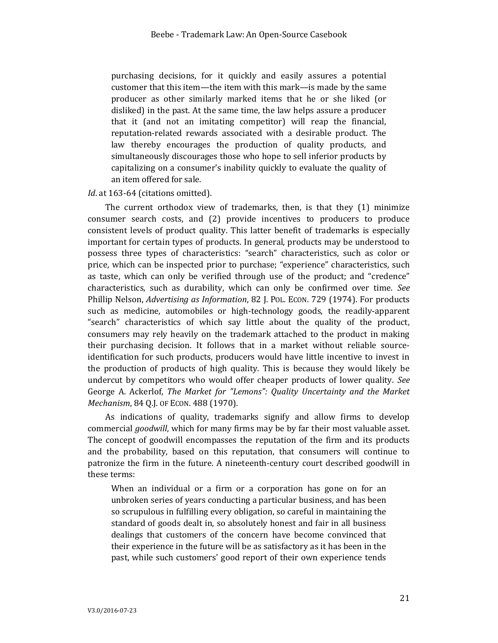purchasing decisions, for it quickly and easily assures a potential customer that this item—the item with this mark—is made by the same producer as other similarly marked items that he or she liked (or disliked) in the past. At the same time, the law helps assure a producer that it (and not an imitating competitor) will reap the financial, reputation-related rewards associated with a desirable product. The law thereby encourages the production of quality products, and simultaneously discourages those who hope to sell inferior products by capitalizing on a consumer's inability quickly to evaluate the quality of an item offered for sale.

## *Id*. at 163-64 (citations omitted).

The current orthodox view of trademarks, then, is that they (1) minimize consumer search costs, and (2) provide incentives to producers to produce consistent levels of product quality. This latter benefit of trademarks is especially important for certain types of products. In general, products may be understood to possess three types of characteristics: "search" characteristics, such as color or price, which can be inspected prior to purchase; "experience" characteristics, such as taste, which can only be verified through use of the product; and "credence" characteristics, such as durability, which can only be confirmed over time. *See* Phillip Nelson, *Advertising as Information*, 82 J. POL. ECON. 729 (1974). For products such as medicine, automobiles or high-technology goods, the readily-apparent "search" characteristics of which say little about the quality of the product, consumers may rely heavily on the trademark attached to the product in making their purchasing decision. It follows that in a market without reliable sourceidentification for such products, producers would have little incentive to invest in the production of products of high quality. This is because they would likely be undercut by competitors who would offer cheaper products of lower quality. *See* George A. Ackerlof, *The Market for "Lemons": Quality Uncertainty and the Market Mechanism*, 84 Q.J. OF ECON. 488 (1970).

As indications of quality, trademarks signify and allow firms to develop commercial *goodwill*, which for many firms may be by far their most valuable asset. The concept of goodwill encompasses the reputation of the firm and its products and the probability, based on this reputation, that consumers will continue to patronize the firm in the future. A nineteenth-century court described goodwill in these terms:

When an individual or a firm or a corporation has gone on for an unbroken series of years conducting a particular business, and has been so scrupulous in fulfilling every obligation, so careful in maintaining the standard of goods dealt in, so absolutely honest and fair in all business dealings that customers of the concern have become convinced that their experience in the future will be as satisfactory as it has been in the past, while such customers' good report of their own experience tends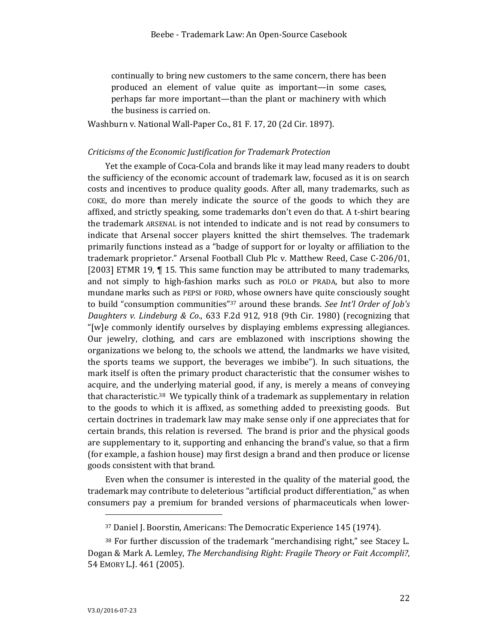continually to bring new customers to the same concern, there has been produced an element of value quite as important—in some cases, perhaps far more important—than the plant or machinery with which the business is carried on.

Washburn v. National Wall-Paper Co., 81 F. 17, 20 (2d Cir. 1897).

## *Criticisms of the Economic Justification for Trademark Protection*

Yet the example of Coca-Cola and brands like it may lead many readers to doubt the sufficiency of the economic account of trademark law, focused as it is on search costs and incentives to produce quality goods. After all, many trademarks, such as COKE, do more than merely indicate the source of the goods to which they are affixed, and strictly speaking, some trademarks don't even do that. A t-shirt bearing the trademark ARSENAL is not intended to indicate and is not read by consumers to indicate that Arsenal soccer players knitted the shirt themselves. The trademark primarily functions instead as a "badge of support for or loyalty or affiliation to the trademark proprietor." Arsenal Football Club Plc v. Matthew Reed, Case C-206/01, [2003] ETMR 19, ¶ 15. This same function may be attributed to many trademarks, and not simply to high-fashion marks such as POLO or PRADA, but also to more mundane marks such as PEPSI or FORD, whose owners have quite consciously sought to build "consumption communities"<sup>37</sup> around these brands. *See Int'l Order of Job's Daughters v. Lindeburg & Co*., 633 F.2d 912, 918 (9th Cir. 1980) (recognizing that "[w]e commonly identify ourselves by displaying emblems expressing allegiances. Our jewelry, clothing, and cars are emblazoned with inscriptions showing the organizations we belong to, the schools we attend, the landmarks we have visited, the sports teams we support, the beverages we imbibe"). In such situations, the mark itself is often the primary product characteristic that the consumer wishes to acquire, and the underlying material good, if any, is merely a means of conveying that characteristic.38 We typically think of a trademark as supplementary in relation to the goods to which it is affixed, as something added to preexisting goods. But certain doctrines in trademark law may make sense only if one appreciates that for certain brands, this relation is reversed. The brand is prior and the physical goods are supplementary to it, supporting and enhancing the brand's value, so that a firm (for example, a fashion house) may first design a brand and then produce or license goods consistent with that brand.

Even when the consumer is interested in the quality of the material good, the trademark may contribute to deleterious "artificial product differentiation," as when consumers pay a premium for branded versions of pharmaceuticals when lower-

<sup>37</sup> Daniel J. Boorstin, Americans: The Democratic Experience 145 (1974).

<sup>38</sup> For further discussion of the trademark "merchandising right," see Stacey L. Dogan & Mark A. Lemley, *The Merchandising Right: Fragile Theory or Fait Accompli?*, 54 EMORY L.J. 461 (2005).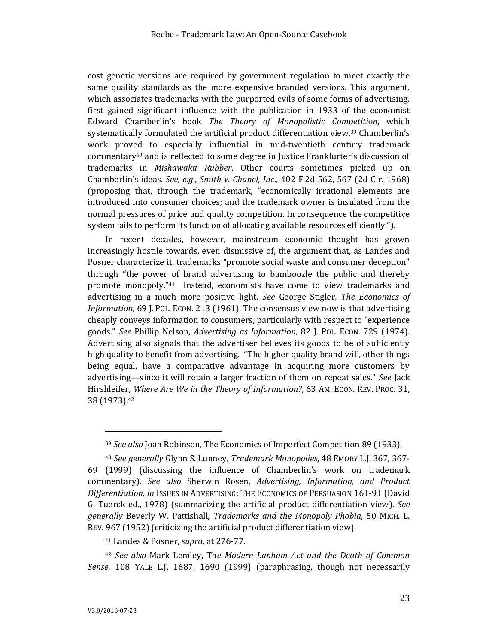cost generic versions are required by government regulation to meet exactly the same quality standards as the more expensive branded versions. This argument, which associates trademarks with the purported evils of some forms of advertising, first gained significant influence with the publication in 1933 of the economist Edward Chamberlin's book *The Theory of Monopolistic Competition*, which systematically formulated the artificial product differentiation view.<sup>39</sup> Chamberlin's work proved to especially influential in mid-twentieth century trademark commentary<sup>40</sup> and is reflected to some degree in Justice Frankfurter's discussion of trademarks in *Mishawaka Rubber*. Other courts sometimes picked up on Chamberlin's ideas. *See, e.g*., *Smith v. Chanel, Inc*., 402 F.2d 562, 567 (2d Cir. 1968) (proposing that, through the trademark, "economically irrational elements are introduced into consumer choices; and the trademark owner is insulated from the normal pressures of price and quality competition. In consequence the competitive system fails to perform its function of allocating available resources efficiently.").

In recent decades, however, mainstream economic thought has grown increasingly hostile towards, even dismissive of, the argument that, as Landes and Posner characterize it, trademarks "promote social waste and consumer deception" through "the power of brand advertising to bamboozle the public and thereby promote monopoly."41 Instead, economists have come to view trademarks and advertising in a much more positive light. *See* George Stigler, *The Economics of Information*, 69 J. POL. ECON. 213 (1961). The consensus view now is that advertising cheaply conveys information to consumers, particularly with respect to "experience goods." *See* Phillip Nelson, *Advertising as Information*, 82 J. POL. ECON. 729 (1974). Advertising also signals that the advertiser believes its goods to be of sufficiently high quality to benefit from advertising. "The higher quality brand will, other things being equal, have a comparative advantage in acquiring more customers by advertising—since it will retain a larger fraction of them on repeat sales." *See* Jack Hirshleifer, *Where Are We in the Theory of Information?*, 63 AM. ECON. REV. PROC. 31, 38 (1973). 42

<sup>42</sup> *See also* Mark Lemley, Th*e Modern Lanham Act and the Death of Common Sense*, 108 YALE L.J. 1687, 1690 (1999) (paraphrasing, though not necessarily

<sup>39</sup> *See also* Joan Robinson, The Economics of Imperfect Competition 89 (1933).

<sup>40</sup> *See generally* Glynn S. Lunney, *Trademark Monopolies*, 48 EMORY L.J. 367, 367- 69 (1999) (discussing the influence of Chamberlin's work on trademark commentary). *See also* Sherwin Rosen, *Advertising, Information, and Product Differentiation*, *in* ISSUES IN ADVERTISING: THE ECONOMICS OF PERSUASION 161-91 (David G. Tuerck ed., 1978) (summarizing the artificial product differentiation view). *See generally* Beverly W. Pattishall, *Trademarks and the Monopoly Phobia*, 50 MICH. L. REV. 967 (1952) (criticizing the artificial product differentiation view).

<sup>41</sup> Landes & Posner, *supra*, at 276-77.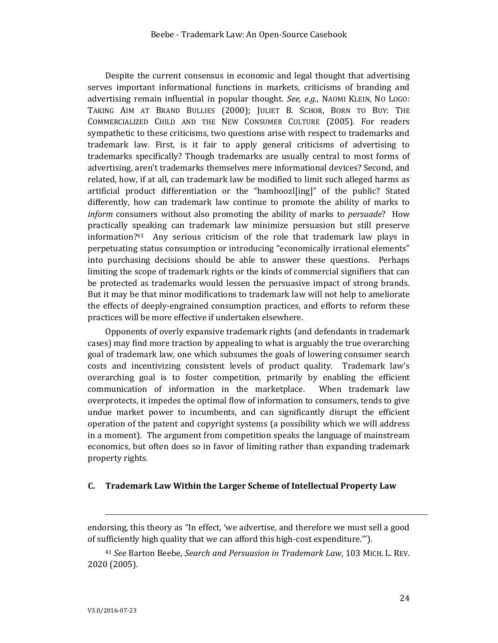Despite the current consensus in economic and legal thought that advertising serves important informational functions in markets, criticisms of branding and advertising remain influential in popular thought. *See, e.g*., NAOMI KLEIN, NO LOGO: TAKING AIM AT BRAND BULLIES (2000); JULIET B. SCHOR, BORN TO BUY: THE COMMERCIALIZED CHILD AND THE NEW CONSUMER CULTURE (2005). For readers sympathetic to these criticisms, two questions arise with respect to trademarks and trademark law. First, is it fair to apply general criticisms of advertising to trademarks specifically? Though trademarks are usually central to most forms of advertising, aren't trademarks themselves mere informational devices? Second, and related, how, if at all, can trademark law be modified to limit such alleged harms as artificial product differentiation or the "bamboozl[ing]" of the public? Stated differently, how can trademark law continue to promote the ability of marks to *inform* consumers without also promoting the ability of marks to *persuade*? How practically speaking can trademark law minimize persuasion but still preserve information?43 Any serious criticism of the role that trademark law plays in perpetuating status consumption or introducing "economically irrational elements" into purchasing decisions should be able to answer these questions. Perhaps limiting the scope of trademark rights or the kinds of commercial signifiers that can be protected as trademarks would lessen the persuasive impact of strong brands. But it may be that minor modifications to trademark law will not help to ameliorate the effects of deeply-engrained consumption practices, and efforts to reform these practices will be more effective if undertaken elsewhere.

Opponents of overly expansive trademark rights (and defendants in trademark cases) may find more traction by appealing to what is arguably the true overarching goal of trademark law, one which subsumes the goals of lowering consumer search costs and incentivizing consistent levels of product quality. Trademark law's overarching goal is to foster competition, primarily by enabling the efficient communication of information in the marketplace. When trademark law overprotects, it impedes the optimal flow of information to consumers, tends to give undue market power to incumbents, and can significantly disrupt the efficient operation of the patent and copyright systems (a possibility which we will address in a moment). The argument from competition speaks the language of mainstream economics, but often does so in favor of limiting rather than expanding trademark property rights.

## <span id="page-23-0"></span>**C. Trademark Law Within the Larger Scheme of Intellectual Property Law**

endorsing, this theory as "In effect, 'we advertise, and therefore we must sell a good of sufficiently high quality that we can afford this high-cost expenditure.'").

<sup>43</sup> *See* Barton Beebe, *Search and Persuasion in Trademark Law*, 103 MICH. L. REV. 2020 (2005).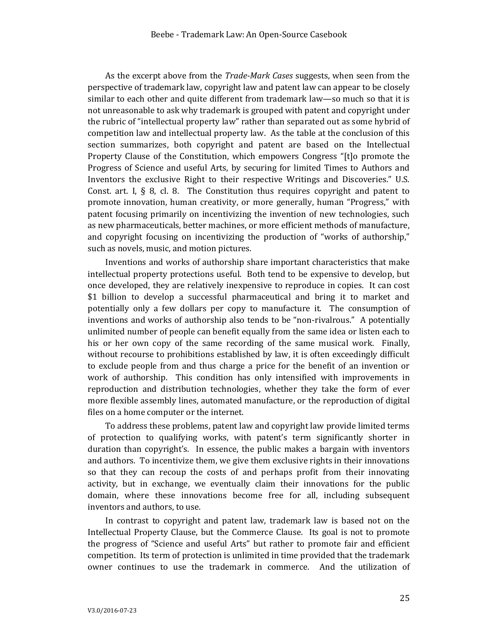As the excerpt above from the *Trade-Mark Cases* suggests, when seen from the perspective of trademark law, copyright law and patent law can appear to be closely similar to each other and quite different from trademark law—so much so that it is not unreasonable to ask why trademark is grouped with patent and copyright under the rubric of "intellectual property law" rather than separated out as some hybrid of competition law and intellectual property law. As the table at the conclusion of this section summarizes, both copyright and patent are based on the Intellectual Property Clause of the Constitution, which empowers Congress "[t]o promote the Progress of Science and useful Arts, by securing for limited Times to Authors and Inventors the exclusive Right to their respective Writings and Discoveries." U.S. Const. art. I,  $\S 8$ , cl. 8. The Constitution thus requires copyright and patent to promote innovation, human creativity, or more generally, human "Progress," with patent focusing primarily on incentivizing the invention of new technologies, such as new pharmaceuticals, better machines, or more efficient methods of manufacture, and copyright focusing on incentivizing the production of "works of authorship," such as novels, music, and motion pictures.

Inventions and works of authorship share important characteristics that make intellectual property protections useful. Both tend to be expensive to develop, but once developed, they are relatively inexpensive to reproduce in copies. It can cost \$1 billion to develop a successful pharmaceutical and bring it to market and potentially only a few dollars per copy to manufacture it. The consumption of inventions and works of authorship also tends to be "non-rivalrous." A potentially unlimited number of people can benefit equally from the same idea or listen each to his or her own copy of the same recording of the same musical work. Finally, without recourse to prohibitions established by law, it is often exceedingly difficult to exclude people from and thus charge a price for the benefit of an invention or work of authorship. This condition has only intensified with improvements in reproduction and distribution technologies, whether they take the form of ever more flexible assembly lines, automated manufacture, or the reproduction of digital files on a home computer or the internet.

To address these problems, patent law and copyright law provide limited terms of protection to qualifying works, with patent's term significantly shorter in duration than copyright's. In essence, the public makes a bargain with inventors and authors. To incentivize them, we give them exclusive rights in their innovations so that they can recoup the costs of and perhaps profit from their innovating activity, but in exchange, we eventually claim their innovations for the public domain, where these innovations become free for all, including subsequent inventors and authors, to use.

In contrast to copyright and patent law, trademark law is based not on the Intellectual Property Clause, but the Commerce Clause. Its goal is not to promote the progress of "Science and useful Arts" but rather to promote fair and efficient competition. Its term of protection is unlimited in time provided that the trademark owner continues to use the trademark in commerce. And the utilization of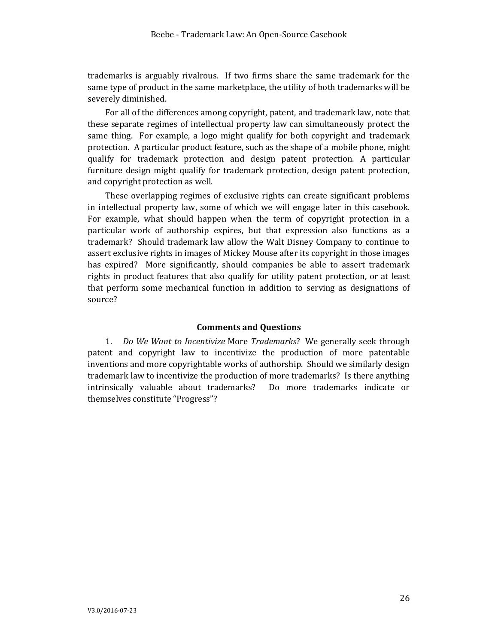trademarks is arguably rivalrous. If two firms share the same trademark for the same type of product in the same marketplace, the utility of both trademarks will be severely diminished.

For all of the differences among copyright, patent, and trademark law, note that these separate regimes of intellectual property law can simultaneously protect the same thing. For example, a logo might qualify for both copyright and trademark protection. A particular product feature, such as the shape of a mobile phone, might qualify for trademark protection and design patent protection. A particular furniture design might qualify for trademark protection, design patent protection, and copyright protection as well.

These overlapping regimes of exclusive rights can create significant problems in intellectual property law, some of which we will engage later in this casebook. For example, what should happen when the term of copyright protection in a particular work of authorship expires, but that expression also functions as a trademark? Should trademark law allow the Walt Disney Company to continue to assert exclusive rights in images of Mickey Mouse after its copyright in those images has expired? More significantly, should companies be able to assert trademark rights in product features that also qualify for utility patent protection, or at least that perform some mechanical function in addition to serving as designations of source?

## **Comments and Questions**

1. *Do We Want to Incentivize* More *Trademarks*? We generally seek through patent and copyright law to incentivize the production of more patentable inventions and more copyrightable works of authorship. Should we similarly design trademark law to incentivize the production of more trademarks? Is there anything intrinsically valuable about trademarks? Do more trademarks indicate or themselves constitute "Progress"?